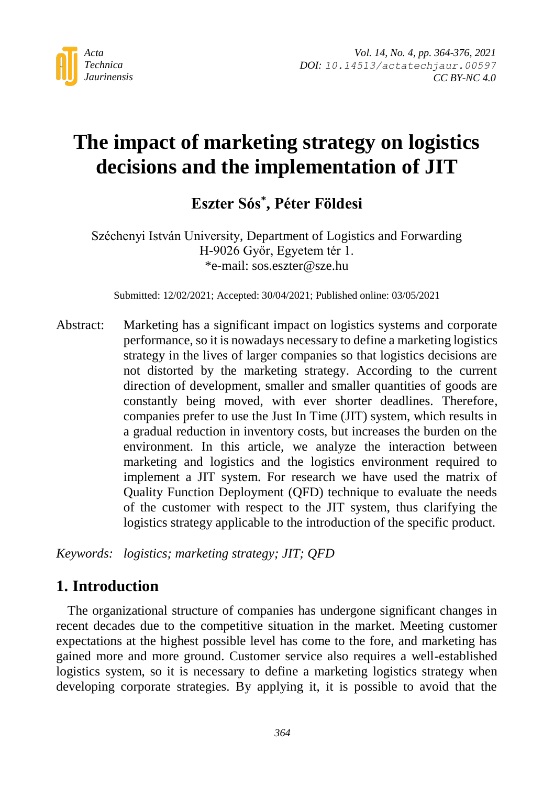

# **The impact of marketing strategy on logistics decisions and the implementation of JIT**

**Eszter Sós\* , Péter Földesi**

Széchenyi István University, Department of Logistics and Forwarding H-9026 Győr, Egyetem tér 1. \*e-mail: sos.eszter@sze.hu

Submitted: 12/02/2021; Accepted: 30/04/2021; Published online: 03/05/2021

Abstract: Marketing has a significant impact on logistics systems and corporate performance, so it is nowadays necessary to define a marketing logistics strategy in the lives of larger companies so that logistics decisions are not distorted by the marketing strategy. According to the current direction of development, smaller and smaller quantities of goods are constantly being moved, with ever shorter deadlines. Therefore, companies prefer to use the Just In Time (JIT) system, which results in a gradual reduction in inventory costs, but increases the burden on the environment. In this article, we analyze the interaction between marketing and logistics and the logistics environment required to implement a JIT system. For research we have used the matrix of Quality Function Deployment (QFD) technique to evaluate the needs of the customer with respect to the JIT system, thus clarifying the logistics strategy applicable to the introduction of the specific product.

*Keywords: logistics; marketing strategy; JIT; QFD*

## **1. Introduction**

The organizational structure of companies has undergone significant changes in recent decades due to the competitive situation in the market. Meeting customer expectations at the highest possible level has come to the fore, and marketing has gained more and more ground. Customer service also requires a well-established logistics system, so it is necessary to define a marketing logistics strategy when developing corporate strategies. By applying it, it is possible to avoid that the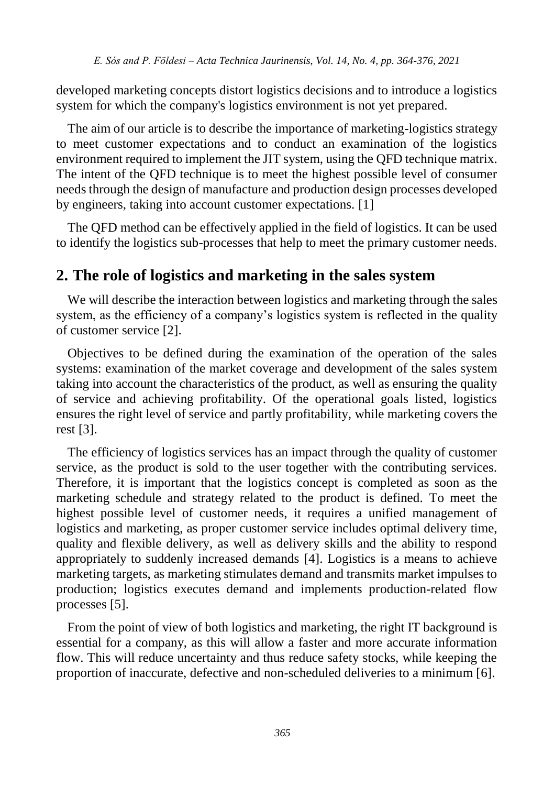developed marketing concepts distort logistics decisions and to introduce a logistics system for which the company's logistics environment is not yet prepared.

The aim of our article is to describe the importance of marketing-logistics strategy to meet customer expectations and to conduct an examination of the logistics environment required to implement the JIT system, using the QFD technique matrix. The intent of the QFD technique is to meet the highest possible level of consumer needs through the design of manufacture and production design processes developed by engineers, taking into account customer expectations. [1]

The QFD method can be effectively applied in the field of logistics. It can be used to identify the logistics sub-processes that help to meet the primary customer needs.

## **2. The role of logistics and marketing in the sales system**

We will describe the interaction between logistics and marketing through the sales system, as the efficiency of a company's logistics system is reflected in the quality of customer service [2].

Objectives to be defined during the examination of the operation of the sales systems: examination of the market coverage and development of the sales system taking into account the characteristics of the product, as well as ensuring the quality of service and achieving profitability. Of the operational goals listed, logistics ensures the right level of service and partly profitability, while marketing covers the rest [3].

The efficiency of logistics services has an impact through the quality of customer service, as the product is sold to the user together with the contributing services. Therefore, it is important that the logistics concept is completed as soon as the marketing schedule and strategy related to the product is defined. To meet the highest possible level of customer needs, it requires a unified management of logistics and marketing, as proper customer service includes optimal delivery time, quality and flexible delivery, as well as delivery skills and the ability to respond appropriately to suddenly increased demands [4]. Logistics is a means to achieve marketing targets, as marketing stimulates demand and transmits market impulses to production; logistics executes demand and implements production-related flow processes [5].

From the point of view of both logistics and marketing, the right IT background is essential for a company, as this will allow a faster and more accurate information flow. This will reduce uncertainty and thus reduce safety stocks, while keeping the proportion of inaccurate, defective and non-scheduled deliveries to a minimum [6].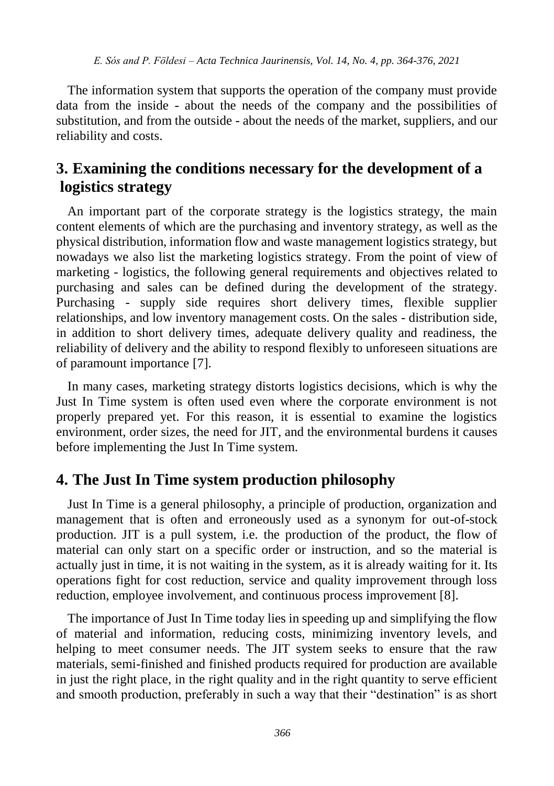The information system that supports the operation of the company must provide data from the inside - about the needs of the company and the possibilities of substitution, and from the outside - about the needs of the market, suppliers, and our reliability and costs.

## **3. Examining the conditions necessary for the development of a logistics strategy**

An important part of the corporate strategy is the logistics strategy, the main content elements of which are the purchasing and inventory strategy, as well as the physical distribution, information flow and waste management logistics strategy, but nowadays we also list the marketing logistics strategy. From the point of view of marketing - logistics, the following general requirements and objectives related to purchasing and sales can be defined during the development of the strategy. Purchasing - supply side requires short delivery times, flexible supplier relationships, and low inventory management costs. On the sales - distribution side, in addition to short delivery times, adequate delivery quality and readiness, the reliability of delivery and the ability to respond flexibly to unforeseen situations are of paramount importance [7].

In many cases, marketing strategy distorts logistics decisions, which is why the Just In Time system is often used even where the corporate environment is not properly prepared yet. For this reason, it is essential to examine the logistics environment, order sizes, the need for JIT, and the environmental burdens it causes before implementing the Just In Time system.

#### **4. The Just In Time system production philosophy**

Just In Time is a general philosophy, a principle of production, organization and management that is often and erroneously used as a synonym for out-of-stock production. JIT is a pull system, i.e. the production of the product, the flow of material can only start on a specific order or instruction, and so the material is actually just in time, it is not waiting in the system, as it is already waiting for it. Its operations fight for cost reduction, service and quality improvement through loss reduction, employee involvement, and continuous process improvement [8].

The importance of Just In Time today lies in speeding up and simplifying the flow of material and information, reducing costs, minimizing inventory levels, and helping to meet consumer needs. The JIT system seeks to ensure that the raw materials, semi-finished and finished products required for production are available in just the right place, in the right quality and in the right quantity to serve efficient and smooth production, preferably in such a way that their "destination" is as short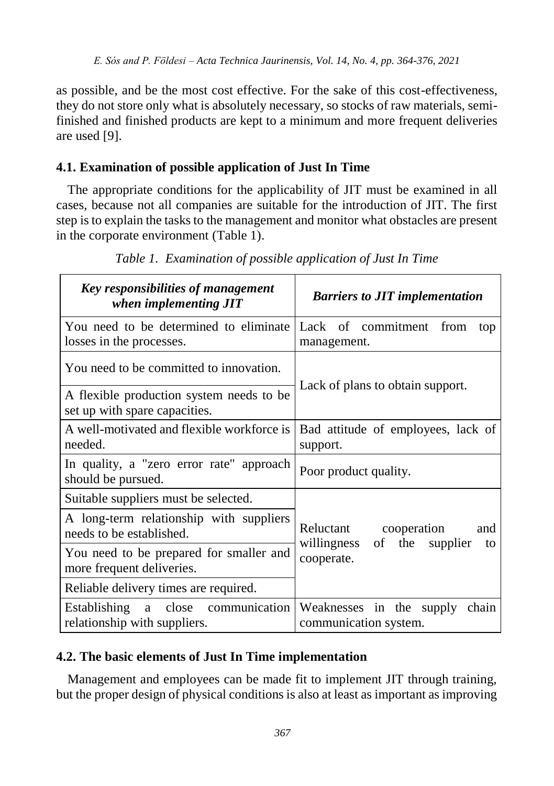as possible, and be the most cost effective. For the sake of this cost-effectiveness, they do not store only what is absolutely necessary, so stocks of raw materials, semifinished and finished products are kept to a minimum and more frequent deliveries are used [9].

#### **4.1. Examination of possible application of Just In Time**

The appropriate conditions for the applicability of JIT must be examined in all cases, because not all companies are suitable for the introduction of JIT. The first step is to explain the tasks to the management and monitor what obstacles are present in the corporate environment (Table 1).

| Key responsibilities of management<br>when implementing JIT                 | <b>Barriers to JIT implementation</b>                      |  |  |  |  |  |  |  |  |  |  |
|-----------------------------------------------------------------------------|------------------------------------------------------------|--|--|--|--|--|--|--|--|--|--|
| You need to be determined to eliminate<br>losses in the processes.          | Lack of commitment from<br>top<br>management.              |  |  |  |  |  |  |  |  |  |  |
| You need to be committed to innovation.                                     |                                                            |  |  |  |  |  |  |  |  |  |  |
| A flexible production system needs to be<br>set up with spare capacities.   | Lack of plans to obtain support.                           |  |  |  |  |  |  |  |  |  |  |
| A well-motivated and flexible workforce is<br>needed.                       | Bad attitude of employees, lack of<br>support.             |  |  |  |  |  |  |  |  |  |  |
| In quality, a "zero error rate" approach<br>should be pursued.              | Poor product quality.                                      |  |  |  |  |  |  |  |  |  |  |
| Suitable suppliers must be selected.                                        |                                                            |  |  |  |  |  |  |  |  |  |  |
| A long-term relationship with suppliers<br>needs to be established.         | Reluctant<br>cooperation<br>and                            |  |  |  |  |  |  |  |  |  |  |
| You need to be prepared for smaller and<br>more frequent deliveries.        | willingness of the supplier<br>to<br>cooperate.            |  |  |  |  |  |  |  |  |  |  |
| Reliable delivery times are required.                                       |                                                            |  |  |  |  |  |  |  |  |  |  |
| communication<br>Establishing<br>close<br>a<br>relationship with suppliers. | Weaknesses in the supply<br>chain<br>communication system. |  |  |  |  |  |  |  |  |  |  |

*Table 1. Examination of possible application of Just In Time*

#### **4.2. The basic elements of Just In Time implementation**

Management and employees can be made fit to implement JIT through training, but the proper design of physical conditions is also at least as important as improving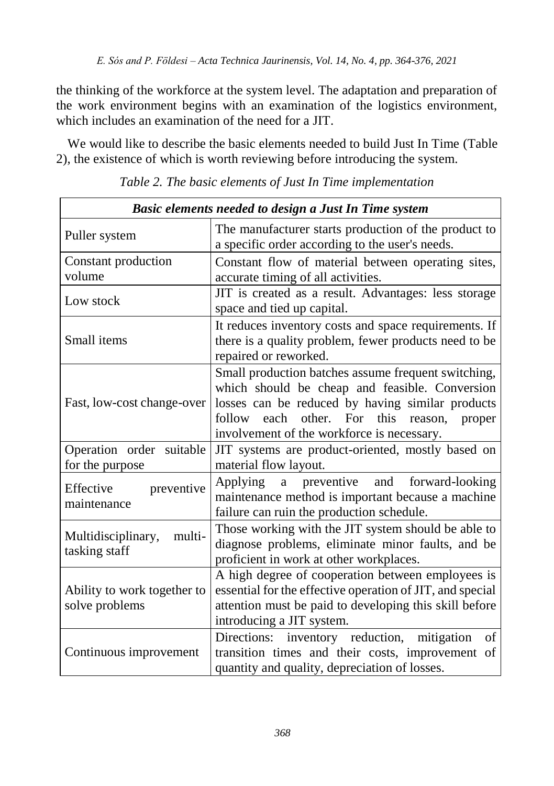the thinking of the workforce at the system level. The adaptation and preparation of the work environment begins with an examination of the logistics environment, which includes an examination of the need for a JIT.

We would like to describe the basic elements needed to build Just In Time (Table 2), the existence of which is worth reviewing before introducing the system.

| Basic elements needed to design a Just In Time system |                                                                                                                                                                                                                                                                      |  |  |  |  |  |  |
|-------------------------------------------------------|----------------------------------------------------------------------------------------------------------------------------------------------------------------------------------------------------------------------------------------------------------------------|--|--|--|--|--|--|
| Puller system                                         | The manufacturer starts production of the product to<br>a specific order according to the user's needs.                                                                                                                                                              |  |  |  |  |  |  |
| Constant production<br>volume                         | Constant flow of material between operating sites,<br>accurate timing of all activities.                                                                                                                                                                             |  |  |  |  |  |  |
| Low stock                                             | JIT is created as a result. Advantages: less storage<br>space and tied up capital.                                                                                                                                                                                   |  |  |  |  |  |  |
| Small items                                           | It reduces inventory costs and space requirements. If<br>there is a quality problem, fewer products need to be<br>repaired or reworked.                                                                                                                              |  |  |  |  |  |  |
| Fast, low-cost change-over                            | Small production batches assume frequent switching,<br>which should be cheap and feasible. Conversion<br>losses can be reduced by having similar products<br>each<br>other. For<br>follow<br>this<br>reason,<br>proper<br>involvement of the workforce is necessary. |  |  |  |  |  |  |
| Operation order suitable<br>for the purpose           | JIT systems are product-oriented, mostly based on<br>material flow layout.                                                                                                                                                                                           |  |  |  |  |  |  |
| preventive<br>Effective<br>maintenance                | preventive and forward-looking<br>Applying<br>a<br>maintenance method is important because a machine<br>failure can ruin the production schedule.                                                                                                                    |  |  |  |  |  |  |
| Multidisciplinary,<br>multi-<br>tasking staff         | Those working with the JIT system should be able to<br>diagnose problems, eliminate minor faults, and be<br>proficient in work at other workplaces.                                                                                                                  |  |  |  |  |  |  |
| Ability to work together to<br>solve problems         | A high degree of cooperation between employees is<br>essential for the effective operation of JIT, and special<br>attention must be paid to developing this skill before<br>introducing a JIT system.                                                                |  |  |  |  |  |  |
| Continuous improvement                                | Directions:<br>inventory reduction,<br>mitigation<br>of<br>transition times and their costs, improvement of<br>quantity and quality, depreciation of losses.                                                                                                         |  |  |  |  |  |  |

*Table 2. The basic elements of Just In Time implementation*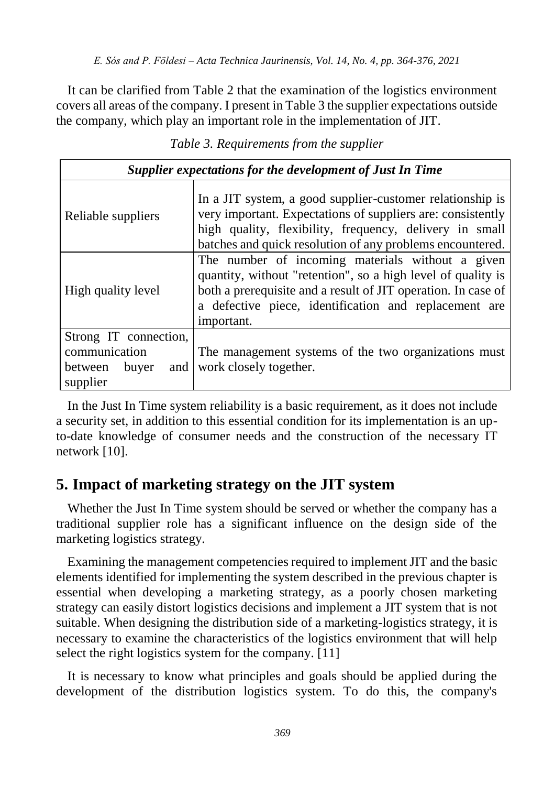It can be clarified from Table 2 that the examination of the logistics environment covers all areas of the company. I present in Table 3 the supplier expectations outside the company, which play an important role in the implementation of JIT.

| Supplier expectations for the development of Just In Time                     |                                                                                                                                                                                                                                                          |  |  |  |  |  |  |  |  |
|-------------------------------------------------------------------------------|----------------------------------------------------------------------------------------------------------------------------------------------------------------------------------------------------------------------------------------------------------|--|--|--|--|--|--|--|--|
| Reliable suppliers                                                            | In a JIT system, a good supplier-customer relationship is<br>very important. Expectations of suppliers are: consistently<br>high quality, flexibility, frequency, delivery in small<br>batches and quick resolution of any problems encountered.         |  |  |  |  |  |  |  |  |
| High quality level                                                            | The number of incoming materials without a given<br>quantity, without "retention", so a high level of quality is<br>both a prerequisite and a result of JIT operation. In case of<br>a defective piece, identification and replacement are<br>important. |  |  |  |  |  |  |  |  |
| Strong IT connection,<br>communication<br>between<br>buyer<br>and<br>supplier | The management systems of the two organizations must<br>work closely together.                                                                                                                                                                           |  |  |  |  |  |  |  |  |

*Table 3. Requirements from the supplier* 

In the Just In Time system reliability is a basic requirement, as it does not include a security set, in addition to this essential condition for its implementation is an upto-date knowledge of consumer needs and the construction of the necessary IT network [10].

## **5. Impact of marketing strategy on the JIT system**

Whether the Just In Time system should be served or whether the company has a traditional supplier role has a significant influence on the design side of the marketing logistics strategy.

Examining the management competencies required to implement JIT and the basic elements identified for implementing the system described in the previous chapter is essential when developing a marketing strategy, as a poorly chosen marketing strategy can easily distort logistics decisions and implement a JIT system that is not suitable. When designing the distribution side of a marketing-logistics strategy, it is necessary to examine the characteristics of the logistics environment that will help select the right logistics system for the company. [11]

It is necessary to know what principles and goals should be applied during the development of the distribution logistics system. To do this, the company's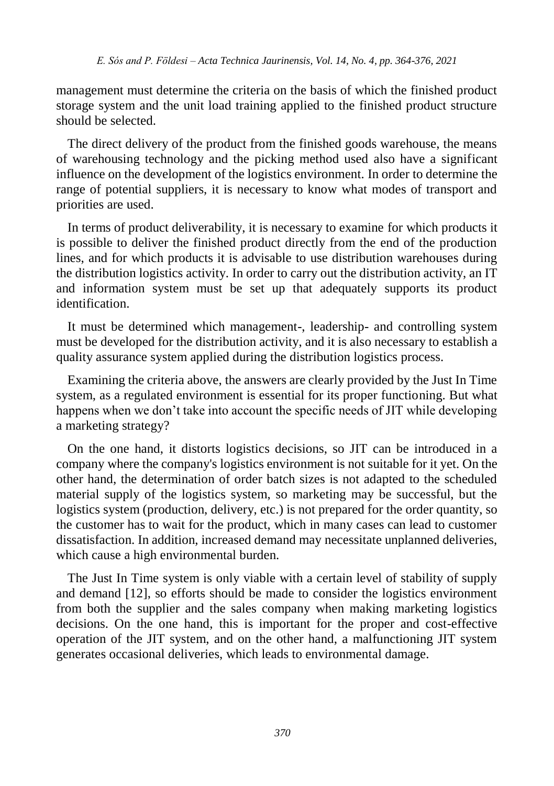management must determine the criteria on the basis of which the finished product storage system and the unit load training applied to the finished product structure should be selected.

The direct delivery of the product from the finished goods warehouse, the means of warehousing technology and the picking method used also have a significant influence on the development of the logistics environment. In order to determine the range of potential suppliers, it is necessary to know what modes of transport and priorities are used.

In terms of product deliverability, it is necessary to examine for which products it is possible to deliver the finished product directly from the end of the production lines, and for which products it is advisable to use distribution warehouses during the distribution logistics activity. In order to carry out the distribution activity, an IT and information system must be set up that adequately supports its product identification.

It must be determined which management-, leadership- and controlling system must be developed for the distribution activity, and it is also necessary to establish a quality assurance system applied during the distribution logistics process.

Examining the criteria above, the answers are clearly provided by the Just In Time system, as a regulated environment is essential for its proper functioning. But what happens when we don't take into account the specific needs of JIT while developing a marketing strategy?

On the one hand, it distorts logistics decisions, so JIT can be introduced in a company where the company's logistics environment is not suitable for it yet. On the other hand, the determination of order batch sizes is not adapted to the scheduled material supply of the logistics system, so marketing may be successful, but the logistics system (production, delivery, etc.) is not prepared for the order quantity, so the customer has to wait for the product, which in many cases can lead to customer dissatisfaction. In addition, increased demand may necessitate unplanned deliveries, which cause a high environmental burden.

The Just In Time system is only viable with a certain level of stability of supply and demand [12], so efforts should be made to consider the logistics environment from both the supplier and the sales company when making marketing logistics decisions. On the one hand, this is important for the proper and cost-effective operation of the JIT system, and on the other hand, a malfunctioning JIT system generates occasional deliveries, which leads to environmental damage.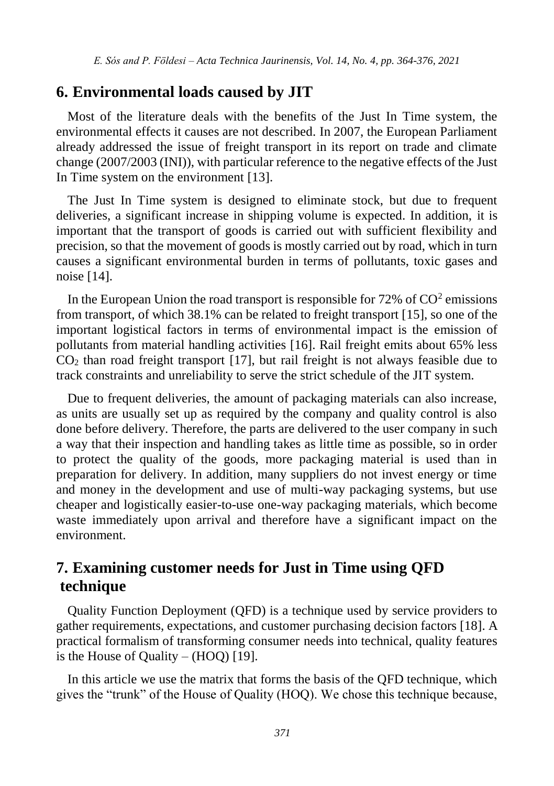#### **6. Environmental loads caused by JIT**

Most of the literature deals with the benefits of the Just In Time system, the environmental effects it causes are not described. In 2007, the European Parliament already addressed the issue of freight transport in its report on trade and climate change (2007/2003 (INI)), with particular reference to the negative effects of the Just In Time system on the environment [13].

The Just In Time system is designed to eliminate stock, but due to frequent deliveries, a significant increase in shipping volume is expected. In addition, it is important that the transport of goods is carried out with sufficient flexibility and precision, so that the movement of goods is mostly carried out by road, which in turn causes a significant environmental burden in terms of pollutants, toxic gases and noise [14].

In the European Union the road transport is responsible for  $72\%$  of  $CO<sup>2</sup>$  emissions from transport, of which 38.1% can be related to freight transport [15], so one of the important logistical factors in terms of environmental impact is the emission of pollutants from material handling activities [16]. Rail freight emits about 65% less  $CO<sub>2</sub>$  than road freight transport [17], but rail freight is not always feasible due to track constraints and unreliability to serve the strict schedule of the JIT system.

Due to frequent deliveries, the amount of packaging materials can also increase, as units are usually set up as required by the company and quality control is also done before delivery. Therefore, the parts are delivered to the user company in such a way that their inspection and handling takes as little time as possible, so in order to protect the quality of the goods, more packaging material is used than in preparation for delivery. In addition, many suppliers do not invest energy or time and money in the development and use of multi-way packaging systems, but use cheaper and logistically easier-to-use one-way packaging materials, which become waste immediately upon arrival and therefore have a significant impact on the environment.

### **7. Examining customer needs for Just in Time using QFD technique**

Quality Function Deployment (QFD) is a technique used by service providers to gather requirements, expectations, and customer purchasing decision factors [18]. A practical formalism of transforming consumer needs into technical, quality features is the House of Quality –  $(HOO)$  [19].

In this article we use the matrix that forms the basis of the QFD technique, which gives the "trunk" of the House of Quality (HOQ). We chose this technique because,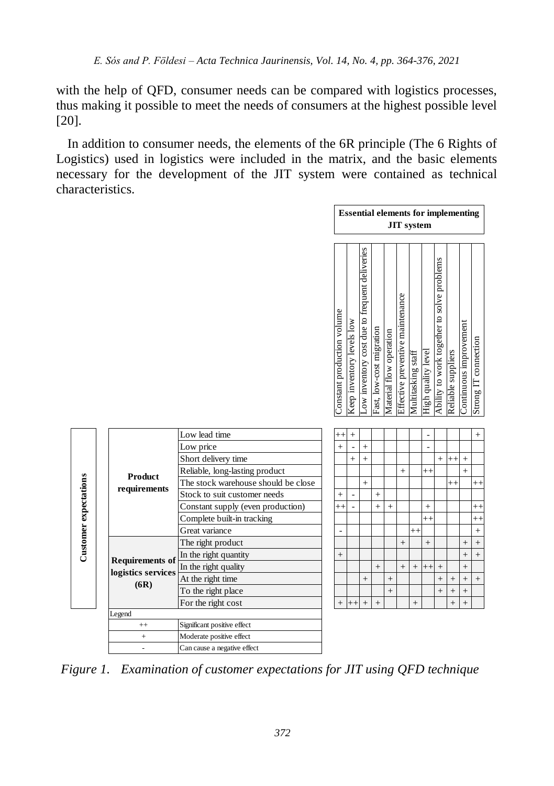with the help of QFD, consumer needs can be compared with logistics processes, thus making it possible to meet the needs of consumers at the highest possible level [20].

In addition to consumer needs, the elements of the 6R principle (The 6 Rights of Logistics) used in logistics were included in the matrix, and the basic elements necessary for the development of the JIT system were contained as technical characteristics.

|                                     | <b>Essential elements for implementing</b><br><b>JIT</b> system |                           |                                              |                          |                         |                                  |                    |                    |                                            |                    |                        |                      |
|-------------------------------------|-----------------------------------------------------------------|---------------------------|----------------------------------------------|--------------------------|-------------------------|----------------------------------|--------------------|--------------------|--------------------------------------------|--------------------|------------------------|----------------------|
|                                     | Constant production volume                                      | Keep inventory levels low | ow inventory cost due to frequent deliveries | Fast, low-cost migration | Material flow operation | Effective preventive maintenance | Multitasking staff | High quality level | Ability to work together to solve problems | Reliable suppliers | Continuous improvement | Strong IT connection |
| Low lead time                       |                                                                 | $^{+}$                    |                                              |                          |                         |                                  |                    | ٠                  |                                            |                    |                        | $^{+}$               |
| Low price                           | $+$                                                             |                           | $^{+}$                                       |                          |                         |                                  |                    | ä,                 |                                            |                    |                        |                      |
| Short delivery time                 |                                                                 | $^{+}$                    | $\ddot{}$                                    |                          |                         |                                  |                    |                    | $^{+}$                                     | $^{++}$            | $^{+}$                 |                      |
| Reliable, long-lasting product      |                                                                 |                           |                                              |                          |                         | $+$                              |                    | $^{++}$            |                                            |                    | $\ddot{}$              |                      |
| The stock warehouse should be close |                                                                 |                           | $\ddot{}$                                    |                          |                         |                                  |                    |                    |                                            | $^{++}$            |                        | $^{++}$              |
| Stock to suit customer needs        | $\! +$                                                          | ٠                         |                                              | $\ddot{}$                |                         |                                  |                    |                    |                                            |                    |                        |                      |
| Constant supply (even production)   | $++$                                                            |                           |                                              | $\ddot{}$                | $+$                     |                                  |                    | $\ddot{}$          |                                            |                    |                        | $^{++}$              |
| Complete built-in tracking          |                                                                 |                           |                                              |                          |                         |                                  |                    | $^{++}$            |                                            |                    |                        | $++$                 |
| Great variance                      |                                                                 |                           |                                              |                          |                         |                                  | $^{++}$            |                    |                                            |                    |                        | $\ddot{}$            |
| The right product                   |                                                                 |                           |                                              |                          |                         | $\ddot{}$                        |                    | $\ddot{}$          |                                            |                    | $\ddot{}$              | $\ddot{}$            |
| In the right quantity               | $+$                                                             |                           |                                              |                          |                         |                                  |                    |                    |                                            |                    | $\ddot{}$              | $\ddot{}$            |
| In the right quality                |                                                                 |                           |                                              | $\! + \!\!\!\!$          |                         | $+$                              | $^{+}$             | $^{++}$            | $^{+}$                                     |                    | $^{+}$                 |                      |
| At the right time                   |                                                                 |                           | $^{+}$                                       |                          | $^{+}$                  |                                  |                    |                    | $\ddot{}$                                  | $\ddot{}$          | $^{+}$                 | $\ddot{}$            |
| To the right place                  |                                                                 |                           |                                              |                          | $\ddot{}$               |                                  |                    |                    | $\ddot{}$                                  | $^{+}$             | $^{+}$                 |                      |
| For the right cost                  |                                                                 |                           | $^{+}$                                       | $\ddot{}$                |                         |                                  | $^{+}$             |                    |                                            | $^{+}$             | $\ddot{}$              |                      |
|                                     |                                                                 |                           |                                              |                          |                         |                                  |                    |                    |                                            |                    |                        |                      |

|                       |                        |                                                                  | Constant production volume | Keep inventory levels low | ow inventory cost due to frequent deliveries | Fast, low-cost migration | Material flow operation | Effective preventive maintenance | Multitasking staff | High quality level           | Ability to work together to solve problems | Reliable suppliers | Continuous improvement | Strong IT connection |
|-----------------------|------------------------|------------------------------------------------------------------|----------------------------|---------------------------|----------------------------------------------|--------------------------|-------------------------|----------------------------------|--------------------|------------------------------|--------------------------------------------|--------------------|------------------------|----------------------|
|                       |                        | Low lead time                                                    | $^{++}$                    | $^{+}$                    |                                              |                          |                         |                                  |                    | $\qquad \qquad \blacksquare$ |                                            |                    |                        | $^{+}$               |
|                       |                        | Low price                                                        | $\ddot{}$                  |                           | $\ddot{}$                                    |                          |                         |                                  |                    | L.                           |                                            |                    |                        |                      |
|                       |                        | Short delivery time                                              |                            | $\ddot{}$                 | $\ddot{}$                                    |                          |                         |                                  |                    |                              | $\ddot{}$                                  | $^{++}$            | $\ddot{}$              |                      |
|                       |                        | Reliable, long-lasting product                                   |                            |                           |                                              |                          |                         | $^{+}$                           |                    | $^{++}$                      |                                            |                    | $\ddot{}$              |                      |
|                       | <b>Product</b>         | The stock warehouse should be close                              |                            |                           | $\ddot{}$                                    |                          |                         |                                  |                    |                              |                                            | $^{++}$            |                        | $^{++}$              |
|                       | requirements           | Stock to suit customer needs                                     | $\ddot{}$                  |                           |                                              | $\ddot{}$                |                         |                                  |                    |                              |                                            |                    |                        |                      |
|                       |                        | Constant supply (even production)                                | $++$                       |                           |                                              | $\ddot{+}$               | $+$                     |                                  |                    | $\ddot{}$                    |                                            |                    |                        | $^{++}$              |
|                       |                        | Complete built-in tracking                                       |                            |                           |                                              |                          |                         |                                  |                    | $^{++}$                      |                                            |                    |                        | $^{++}$              |
|                       |                        | Great variance                                                   | $\overline{\phantom{m}}$   |                           |                                              |                          |                         |                                  | $^{++}$            |                              |                                            |                    |                        | $\ddot{}$            |
| Customer expectations |                        | The right product                                                |                            |                           |                                              |                          |                         | $^{+}$                           |                    | $\ddot{}$                    |                                            |                    | $^{+}$                 | $\ddot{}$            |
|                       |                        | In the right quantity                                            | $\! + \!\!\!\!$            |                           |                                              |                          |                         |                                  |                    |                              |                                            |                    | $^{+}$                 | $\ddot{}$            |
|                       | <b>Requirements of</b> | In the right quality                                             |                            |                           |                                              | $^{+}$                   |                         | $^{+}$                           | $\qquad \qquad +$  | $++$                         |                                            |                    | $\ddot{}$              |                      |
|                       | logistics services     | At the right time                                                |                            |                           | $^{+}$                                       |                          | $+$                     |                                  |                    |                              | $\ddot{}$                                  | $\ddot{}$          | $\ddot{}$              | $\ddot{}$            |
|                       | (6R)                   | To the right place                                               |                            |                           |                                              |                          | $^{+}$                  |                                  |                    |                              | $\ddot{}$                                  | $^{+}$             | $\ddot{}$              |                      |
|                       |                        | For the right cost                                               | $\ddot{}$                  | $^{++}$                   | $\ddot{}$                                    | $\ddot{+}$               |                         |                                  | $\ddot{}$          |                              |                                            | $\qquad \qquad +$  | $^{+}$                 |                      |
|                       | Legend                 |                                                                  |                            |                           |                                              |                          |                         |                                  |                    |                              |                                            |                    |                        |                      |
|                       | $^{++}$                | Significant positive effect                                      |                            |                           |                                              |                          |                         |                                  |                    |                              |                                            |                    |                        |                      |
|                       | $^{+}$                 | Moderate positive effect                                         |                            |                           |                                              |                          |                         |                                  |                    |                              |                                            |                    |                        |                      |
|                       | $\overline{a}$         | Can cause a negative effect                                      |                            |                           |                                              |                          |                         |                                  |                    |                              |                                            |                    |                        |                      |
| Figure 1.             |                        | Examination of customer expectations for JIT using QFD technique |                            |                           |                                              |                          |                         |                                  |                    |                              |                                            |                    |                        |                      |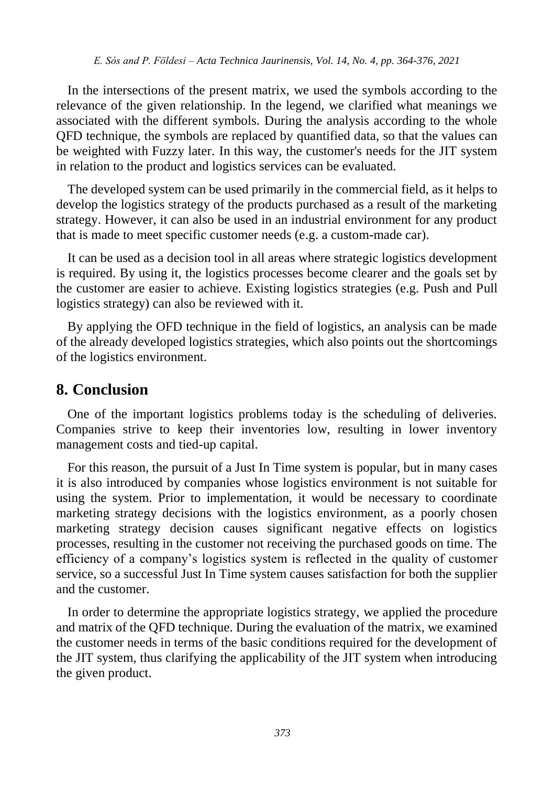In the intersections of the present matrix, we used the symbols according to the relevance of the given relationship. In the legend, we clarified what meanings we associated with the different symbols. During the analysis according to the whole QFD technique, the symbols are replaced by quantified data, so that the values can be weighted with Fuzzy later. In this way, the customer's needs for the JIT system in relation to the product and logistics services can be evaluated.

The developed system can be used primarily in the commercial field, as it helps to develop the logistics strategy of the products purchased as a result of the marketing strategy. However, it can also be used in an industrial environment for any product that is made to meet specific customer needs (e.g. a custom-made car).

It can be used as a decision tool in all areas where strategic logistics development is required. By using it, the logistics processes become clearer and the goals set by the customer are easier to achieve. Existing logistics strategies (e.g. Push and Pull logistics strategy) can also be reviewed with it.

By applying the OFD technique in the field of logistics, an analysis can be made of the already developed logistics strategies, which also points out the shortcomings of the logistics environment.

## **8. Conclusion**

One of the important logistics problems today is the scheduling of deliveries. Companies strive to keep their inventories low, resulting in lower inventory management costs and tied-up capital.

For this reason, the pursuit of a Just In Time system is popular, but in many cases it is also introduced by companies whose logistics environment is not suitable for using the system. Prior to implementation, it would be necessary to coordinate marketing strategy decisions with the logistics environment, as a poorly chosen marketing strategy decision causes significant negative effects on logistics processes, resulting in the customer not receiving the purchased goods on time. The efficiency of a company's logistics system is reflected in the quality of customer service, so a successful Just In Time system causes satisfaction for both the supplier and the customer.

In order to determine the appropriate logistics strategy, we applied the procedure and matrix of the QFD technique. During the evaluation of the matrix, we examined the customer needs in terms of the basic conditions required for the development of the JIT system, thus clarifying the applicability of the JIT system when introducing the given product.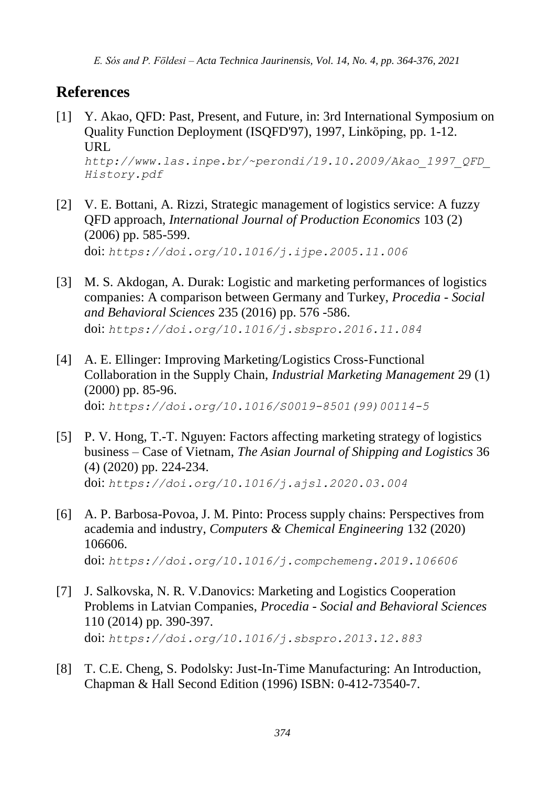*E. Sós and P. Földesi – Acta Technica Jaurinensis, Vol. 14, No. 4, pp. 364-376, 2021*

## **References**

- [1] Y. Akao, QFD: Past, Present, and Future, in: 3rd International Symposium on Quality Function Deployment (ISQFD'97), 1997, Linköping, pp. 1-12. URL *[http://www.las.inpe.br/~perondi/19.10.2009/Akao\\_1997\\_QFD\\_](http://www.las.inpe.br/~perondi/19.10.2009/Akao_1997_QFD_History.pdf) [History.pdf](http://www.las.inpe.br/~perondi/19.10.2009/Akao_1997_QFD_History.pdf)*
- [2] V. [E. Bottani, A. Rizzi,](https://www.sciencedirect.com/science/article/abs/pii/S092552730600034X#!) Strategic management of logistics service: A fuzzy QFD approach, *[International Journal of Production Economics](https://www.sciencedirect.com/science/journal/09255273)* 103 (2) (2006) pp. 585-599. doi: *<https://doi.org/10.1016/j.ijpe.2005.11.006>*
- [3] M. S. Akdogan, A. Durak: Logistic and marketing performances of logistics companies: A comparison between Germany and Turkey, *Procedia - Social and Behavioral Sciences* 235 (2016) pp. 576 -586. doi: *<https://doi.org/10.1016/j.sbspro.2016.11.084>*
- [4] [A. E. Ellinger:](https://www.sciencedirect.com/science/article/abs/pii/S0019850199001145#!) Improving Marketing/Logistics Cross-Functional Collaboration in the Supply Chain, *[Industrial Marketing Management](https://www.sciencedirect.com/science/journal/00198501)* 29 (1) (2000) pp. 85-96. doi: *[https://doi.org/10.1016/S0019-8501\(99\)00114-5](https://doi.org/10.1016/S0019-8501(99)00114-5)*
- [5] P. V. [Hong,](https://www.sciencedirect.com/science/article/pii/S2092521220300213#!) T.-T. [Nguyen:](https://www.sciencedirect.com/science/article/pii/S2092521220300213#!) Factors affecting marketing strategy of logistics business – Case of Vietnam, *[The Asian Journal of Shipping and Logistics](https://www.sciencedirect.com/science/journal/20925212)* 36 (4) (2020) pp. 224-234. doi: *<https://doi.org/10.1016/j.ajsl.2020.03.004>*
- [6] A. P. Barbosa-Povoa, J. M. Pinto: Process supply chains: Perspectives from academia and industry, *[Computers & Chemical Engineering](https://www.sciencedirect.com/science/journal/00981354)* 132 (2020) 106606. doi: *<https://doi.org/10.1016/j.compchemeng.2019.106606>*
- [7] J. [Salkovska, N. R.](https://www.sciencedirect.com/science/article/pii/S1877042813055237#!) [V.Danovics:](https://www.sciencedirect.com/science/article/pii/S1877042813055237#!) Marketing and Logistics Cooperation Problems in Latvian Companies, *Procedia - [Social and Behavioral Sciences](https://www.sciencedirect.com/science/journal/18770428)* 110 (2014) pp. 390-397. doi: *<https://doi.org/10.1016/j.sbspro.2013.12.883>*
- [8] T. C.E. Cheng, S. Podolsky: Just-In-Time Manufacturing: An Introduction, Chapman & Hall Second Edition (1996) ISBN: 0-412-73540-7.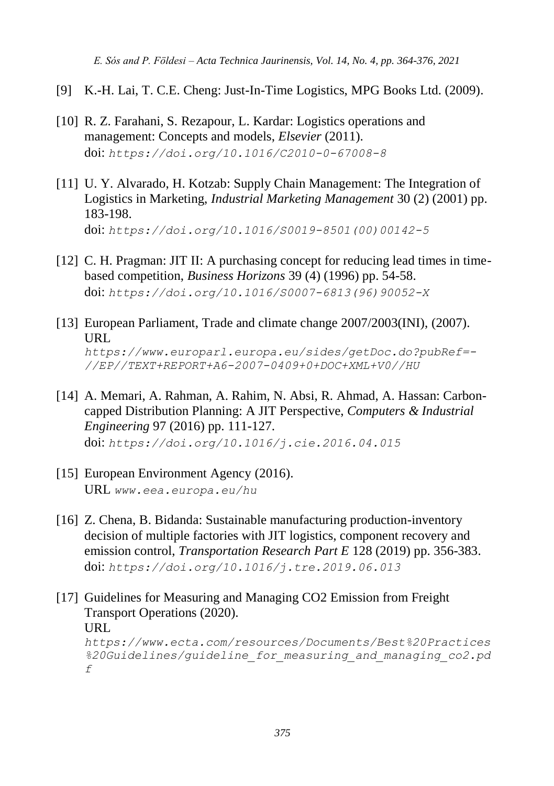*E. Sós and P. Földesi – Acta Technica Jaurinensis, Vol. 14, No. 4, pp. 364-376, 2021*

- [9] K.-H. Lai, T. C.E. Cheng: Just-In-Time Logistics, MPG Books Ltd. (2009).
- [10] R. Z. Farahani, S. Rezapour, L. Kardar: Logistics operations and management: Concepts and models, *Elsevier* (2011). doi: *<https://doi.org/10.1016/C2010-0-67008-8>*
- [11] U. [Y. Alvarado,](https://www.sciencedirect.com/science/article/abs/pii/S0019850100001425#!) H. [Kotzab:](https://www.sciencedirect.com/science/article/abs/pii/S0019850100001425#!) Supply Chain Management: The Integration of Logistics in Marketing, *[Industrial Marketing Management](https://www.sciencedirect.com/science/journal/00198501)* 30 (2) (2001) pp. 183-198. doi: *[https://doi.org/10.1016/S0019-8501\(00\)00142-5](https://doi.org/10.1016/S0019-8501(00)00142-5)*
- [12] C. [H. Pragman:](https://www.sciencedirect.com/science/article/abs/pii/S000768139690052X#!) JIT II: A purchasing concept for reducing lead times in timebased competition, *[Business Horizons](https://www.sciencedirect.com/science/journal/00076813)* 39 (4) (1996) pp. 54-58. doi: *[https://doi.org/10.1016/S0007-6813\(96\)90052-X](https://doi.org/10.1016/S0007-6813(96)90052-X)*
- [13] [European Parliament,](http://www.europarl.europa.eu/portal/en) Trade and climate change  $2007/2003$  (INI), (2007). URL *[https://www.europarl.europa.eu/sides/getDoc.do?pubRef=-](https://www.europarl.europa.eu/sides/getDoc.do?pubRef=-//EP//TEXT+REPORT+A6-2007-0409+0+DOC+XML+V0//HU) [//EP//TEXT+REPORT+A6-2007-0409+0+DOC+XML+V0//HU](https://www.europarl.europa.eu/sides/getDoc.do?pubRef=-//EP//TEXT+REPORT+A6-2007-0409+0+DOC+XML+V0//HU)*
- [14] A. Memari, A. Rahman, A. Rahim, N. Absi, R. Ahmad, A. Hassan: Carboncapped Distribution Planning: A JIT Perspective, *[Computers & Industrial](https://www.sciencedirect.com/science/journal/03608352)  [Engineering](https://www.sciencedirect.com/science/journal/03608352)* 97 (2016) pp. 111-127. doi: *<https://doi.org/10.1016/j.cie.2016.04.015>*
- [15] European Environment Agency (2016). URL *[www.eea.europa.eu/hu](http://www.eea.europa.eu/hu)*
- [16] Z. Chena, B. Bidanda: Sustainable manufacturing production-inventory decision of multiple factories with JIT logistics, component recovery and emission control, *Transportation Research Part E* 128 (2019) pp. 356-383. doi: *<https://doi.org/10.1016/j.tre.2019.06.013>*
- [17] Guidelines for Measuring and Managing CO2 Emission from Freight Transport Operations (2020). URL *[https://www.ecta.com/resources/Documents/Best%20Practices](https://www.ecta.com/resources/Documents/Best%20Practices%20Guidelines/guideline_for_measuring_and_managing_co2.pdf) [%20Guidelines/guideline\\_for\\_measuring\\_and\\_managing\\_co2.pd](https://www.ecta.com/resources/Documents/Best%20Practices%20Guidelines/guideline_for_measuring_and_managing_co2.pdf) [f](https://www.ecta.com/resources/Documents/Best%20Practices%20Guidelines/guideline_for_measuring_and_managing_co2.pdf)*